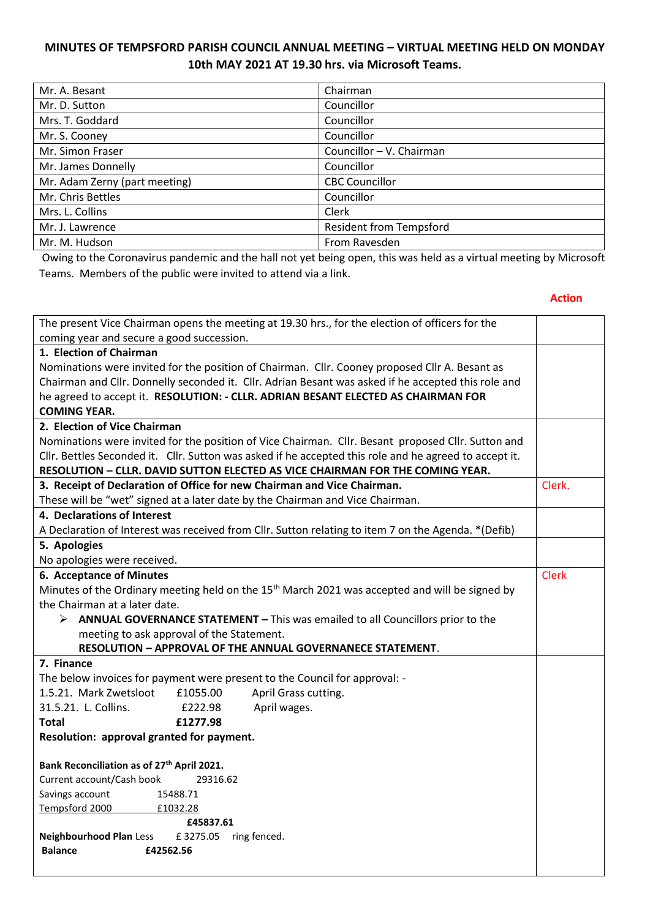## **MINUTES OF TEMPSFORD PARISH COUNCIL ANNUAL MEETING – VIRTUAL MEETING HELD ON MONDAY 10th MAY 2021 AT 19.30 hrs. via Microsoft Teams.**

| Mr. A. Besant                 | Chairman                       |
|-------------------------------|--------------------------------|
| Mr. D. Sutton                 | Councillor                     |
| Mrs. T. Goddard               | Councillor                     |
| Mr. S. Cooney                 | Councillor                     |
| Mr. Simon Fraser              | Councillor - V. Chairman       |
| Mr. James Donnelly            | Councillor                     |
| Mr. Adam Zerny (part meeting) | <b>CBC Councillor</b>          |
| Mr. Chris Bettles             | Councillor                     |
| Mrs. L. Collins               | Clerk                          |
| Mr. J. Lawrence               | <b>Resident from Tempsford</b> |
| Mr. M. Hudson                 | From Ravesden                  |

Owing to the Coronavirus pandemic and the hall not yet being open, this was held as a virtual meeting by Microsoft Teams. Members of the public were invited to attend via a link.

## **Action**

| The present Vice Chairman opens the meeting at 19.30 hrs., for the election of officers for the |                                                                                                            |              |
|-------------------------------------------------------------------------------------------------|------------------------------------------------------------------------------------------------------------|--------------|
| coming year and secure a good succession.                                                       |                                                                                                            |              |
| 1. Election of Chairman                                                                         |                                                                                                            |              |
|                                                                                                 | Nominations were invited for the position of Chairman. Cllr. Cooney proposed Cllr A. Besant as             |              |
|                                                                                                 | Chairman and Cllr. Donnelly seconded it. Cllr. Adrian Besant was asked if he accepted this role and        |              |
|                                                                                                 | he agreed to accept it. RESOLUTION: - CLLR. ADRIAN BESANT ELECTED AS CHAIRMAN FOR                          |              |
| <b>COMING YEAR.</b>                                                                             |                                                                                                            |              |
| 2. Election of Vice Chairman                                                                    |                                                                                                            |              |
|                                                                                                 | Nominations were invited for the position of Vice Chairman. Cllr. Besant proposed Cllr. Sutton and         |              |
|                                                                                                 | Cllr. Bettles Seconded it. Cllr. Sutton was asked if he accepted this role and he agreed to accept it.     |              |
|                                                                                                 | RESOLUTION - CLLR. DAVID SUTTON ELECTED AS VICE CHAIRMAN FOR THE COMING YEAR.                              |              |
|                                                                                                 | 3. Receipt of Declaration of Office for new Chairman and Vice Chairman.                                    | Clerk.       |
|                                                                                                 | These will be "wet" signed at a later date by the Chairman and Vice Chairman.                              |              |
| 4. Declarations of Interest                                                                     |                                                                                                            |              |
|                                                                                                 | A Declaration of Interest was received from Cllr. Sutton relating to item 7 on the Agenda. * (Defib)       |              |
| 5. Apologies                                                                                    |                                                                                                            |              |
| No apologies were received.                                                                     |                                                                                                            |              |
| 6. Acceptance of Minutes                                                                        |                                                                                                            | <b>Clerk</b> |
|                                                                                                 | Minutes of the Ordinary meeting held on the 15 <sup>th</sup> March 2021 was accepted and will be signed by |              |
| the Chairman at a later date.                                                                   |                                                                                                            |              |
|                                                                                                 | $\triangleright$ ANNUAL GOVERNANCE STATEMENT – This was emailed to all Councillors prior to the            |              |
| meeting to ask approval of the Statement.                                                       |                                                                                                            |              |
|                                                                                                 | RESOLUTION - APPROVAL OF THE ANNUAL GOVERNANECE STATEMENT.                                                 |              |
| 7. Finance                                                                                      |                                                                                                            |              |
|                                                                                                 | The below invoices for payment were present to the Council for approval: -                                 |              |
| 1.5.21. Mark Zwetsloot                                                                          | April Grass cutting.<br>£1055.00                                                                           |              |
| 31.5.21. L. Collins.                                                                            | April wages.<br>£222.98                                                                                    |              |
| <b>Total</b>                                                                                    | £1277.98                                                                                                   |              |
| Resolution: approval granted for payment.                                                       |                                                                                                            |              |
|                                                                                                 |                                                                                                            |              |
| Bank Reconciliation as of 27 <sup>th</sup> April 2021.                                          |                                                                                                            |              |
| Current account/Cash book                                                                       | 29316.62                                                                                                   |              |
| Savings account<br>15488.71                                                                     |                                                                                                            |              |
| Tempsford 2000<br>£1032.28                                                                      |                                                                                                            |              |
|                                                                                                 | £45837.61                                                                                                  |              |
| <b>Neighbourhood Plan Less</b><br>£3275.05                                                      | ring fenced.                                                                                               |              |
| £42562.56<br><b>Balance</b>                                                                     |                                                                                                            |              |
|                                                                                                 |                                                                                                            |              |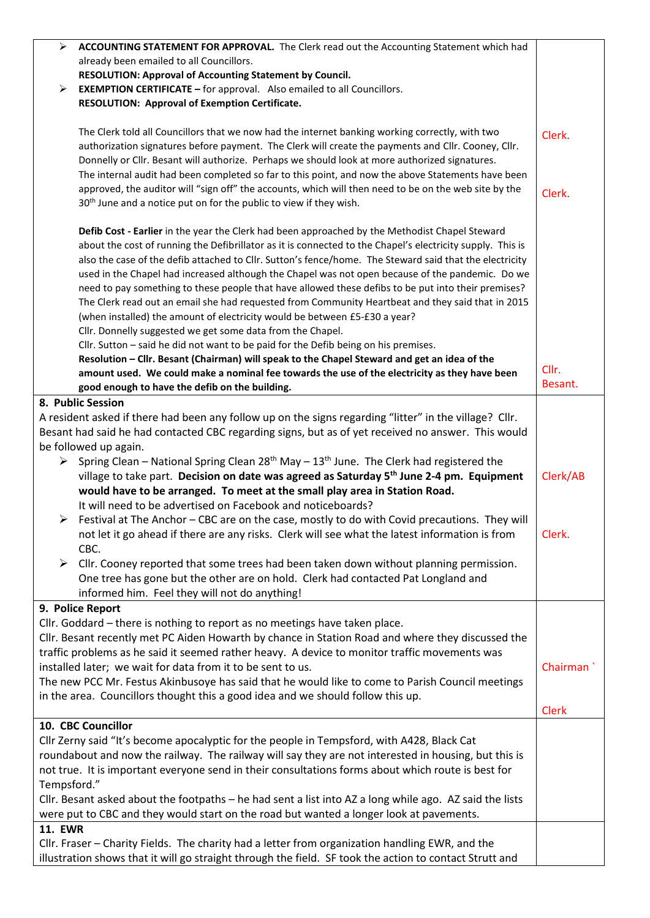| ⋗              | ACCOUNTING STATEMENT FOR APPROVAL. The Clerk read out the Accounting Statement which had                                                                                                                                                                                                                                |              |
|----------------|-------------------------------------------------------------------------------------------------------------------------------------------------------------------------------------------------------------------------------------------------------------------------------------------------------------------------|--------------|
|                | already been emailed to all Councillors.                                                                                                                                                                                                                                                                                |              |
|                | RESOLUTION: Approval of Accounting Statement by Council.                                                                                                                                                                                                                                                                |              |
| ➤              | <b>EXEMPTION CERTIFICATE - for approval.</b> Also emailed to all Councillors.                                                                                                                                                                                                                                           |              |
|                | <b>RESOLUTION: Approval of Exemption Certificate.</b>                                                                                                                                                                                                                                                                   |              |
|                | The Clerk told all Councillors that we now had the internet banking working correctly, with two                                                                                                                                                                                                                         | Clerk.       |
|                | authorization signatures before payment. The Clerk will create the payments and Cllr. Cooney, Cllr.                                                                                                                                                                                                                     |              |
|                | Donnelly or Cllr. Besant will authorize. Perhaps we should look at more authorized signatures.<br>The internal audit had been completed so far to this point, and now the above Statements have been                                                                                                                    |              |
|                | approved, the auditor will "sign off" the accounts, which will then need to be on the web site by the                                                                                                                                                                                                                   |              |
|                | 30 <sup>th</sup> June and a notice put on for the public to view if they wish.                                                                                                                                                                                                                                          | Clerk.       |
|                | Defib Cost - Earlier in the year the Clerk had been approached by the Methodist Chapel Steward<br>about the cost of running the Defibrillator as it is connected to the Chapel's electricity supply. This is<br>also the case of the defib attached to Cllr. Sutton's fence/home. The Steward said that the electricity |              |
|                | used in the Chapel had increased although the Chapel was not open because of the pandemic. Do we                                                                                                                                                                                                                        |              |
|                | need to pay something to these people that have allowed these defibs to be put into their premises?                                                                                                                                                                                                                     |              |
|                | The Clerk read out an email she had requested from Community Heartbeat and they said that in 2015                                                                                                                                                                                                                       |              |
|                | (when installed) the amount of electricity would be between £5-£30 a year?                                                                                                                                                                                                                                              |              |
|                | Cllr. Donnelly suggested we get some data from the Chapel.                                                                                                                                                                                                                                                              |              |
|                | Cllr. Sutton - said he did not want to be paid for the Defib being on his premises.                                                                                                                                                                                                                                     |              |
|                | Resolution - Cllr. Besant (Chairman) will speak to the Chapel Steward and get an idea of the                                                                                                                                                                                                                            |              |
|                | amount used. We could make a nominal fee towards the use of the electricity as they have been                                                                                                                                                                                                                           | Cllr.        |
|                | good enough to have the defib on the building.                                                                                                                                                                                                                                                                          | Besant.      |
|                | 8. Public Session                                                                                                                                                                                                                                                                                                       |              |
|                | A resident asked if there had been any follow up on the signs regarding "litter" in the village? Cllr.                                                                                                                                                                                                                  |              |
|                | Besant had said he had contacted CBC regarding signs, but as of yet received no answer. This would                                                                                                                                                                                                                      |              |
|                | be followed up again.                                                                                                                                                                                                                                                                                                   |              |
| ➤              | Spring Clean - National Spring Clean $28th$ May - $13th$ June. The Clerk had registered the                                                                                                                                                                                                                             |              |
|                | village to take part. Decision on date was agreed as Saturday 5 <sup>th</sup> June 2-4 pm. Equipment                                                                                                                                                                                                                    | Clerk/AB     |
|                | would have to be arranged. To meet at the small play area in Station Road.                                                                                                                                                                                                                                              |              |
|                | It will need to be advertised on Facebook and noticeboards?                                                                                                                                                                                                                                                             |              |
|                | $\triangleright$ Festival at The Anchor – CBC are on the case, mostly to do with Covid precautions. They will                                                                                                                                                                                                           |              |
|                | not let it go ahead if there are any risks. Clerk will see what the latest information is from<br>CBC.                                                                                                                                                                                                                  | Clerk.       |
| ➤              | Cllr. Cooney reported that some trees had been taken down without planning permission.                                                                                                                                                                                                                                  |              |
|                | One tree has gone but the other are on hold. Clerk had contacted Pat Longland and                                                                                                                                                                                                                                       |              |
|                | informed him. Feel they will not do anything!                                                                                                                                                                                                                                                                           |              |
|                | 9. Police Report                                                                                                                                                                                                                                                                                                        |              |
|                | Cllr. Goddard - there is nothing to report as no meetings have taken place.                                                                                                                                                                                                                                             |              |
|                | Cllr. Besant recently met PC Aiden Howarth by chance in Station Road and where they discussed the                                                                                                                                                                                                                       |              |
|                | traffic problems as he said it seemed rather heavy. A device to monitor traffic movements was                                                                                                                                                                                                                           | Chairman     |
|                | installed later; we wait for data from it to be sent to us.                                                                                                                                                                                                                                                             |              |
|                | The new PCC Mr. Festus Akinbusoye has said that he would like to come to Parish Council meetings                                                                                                                                                                                                                        |              |
|                | in the area. Councillors thought this a good idea and we should follow this up.                                                                                                                                                                                                                                         | <b>Clerk</b> |
|                | 10. CBC Councillor                                                                                                                                                                                                                                                                                                      |              |
|                | Cllr Zerny said "It's become apocalyptic for the people in Tempsford, with A428, Black Cat                                                                                                                                                                                                                              |              |
|                | roundabout and now the railway. The railway will say they are not interested in housing, but this is                                                                                                                                                                                                                    |              |
|                | not true. It is important everyone send in their consultations forms about which route is best for                                                                                                                                                                                                                      |              |
| Tempsford."    |                                                                                                                                                                                                                                                                                                                         |              |
|                | Cllr. Besant asked about the footpaths - he had sent a list into AZ a long while ago. AZ said the lists                                                                                                                                                                                                                 |              |
|                | were put to CBC and they would start on the road but wanted a longer look at pavements.                                                                                                                                                                                                                                 |              |
| <b>11. EWR</b> |                                                                                                                                                                                                                                                                                                                         |              |
|                | Cllr. Fraser - Charity Fields. The charity had a letter from organization handling EWR, and the                                                                                                                                                                                                                         |              |
|                | illustration shows that it will go straight through the field. SF took the action to contact Strutt and                                                                                                                                                                                                                 |              |